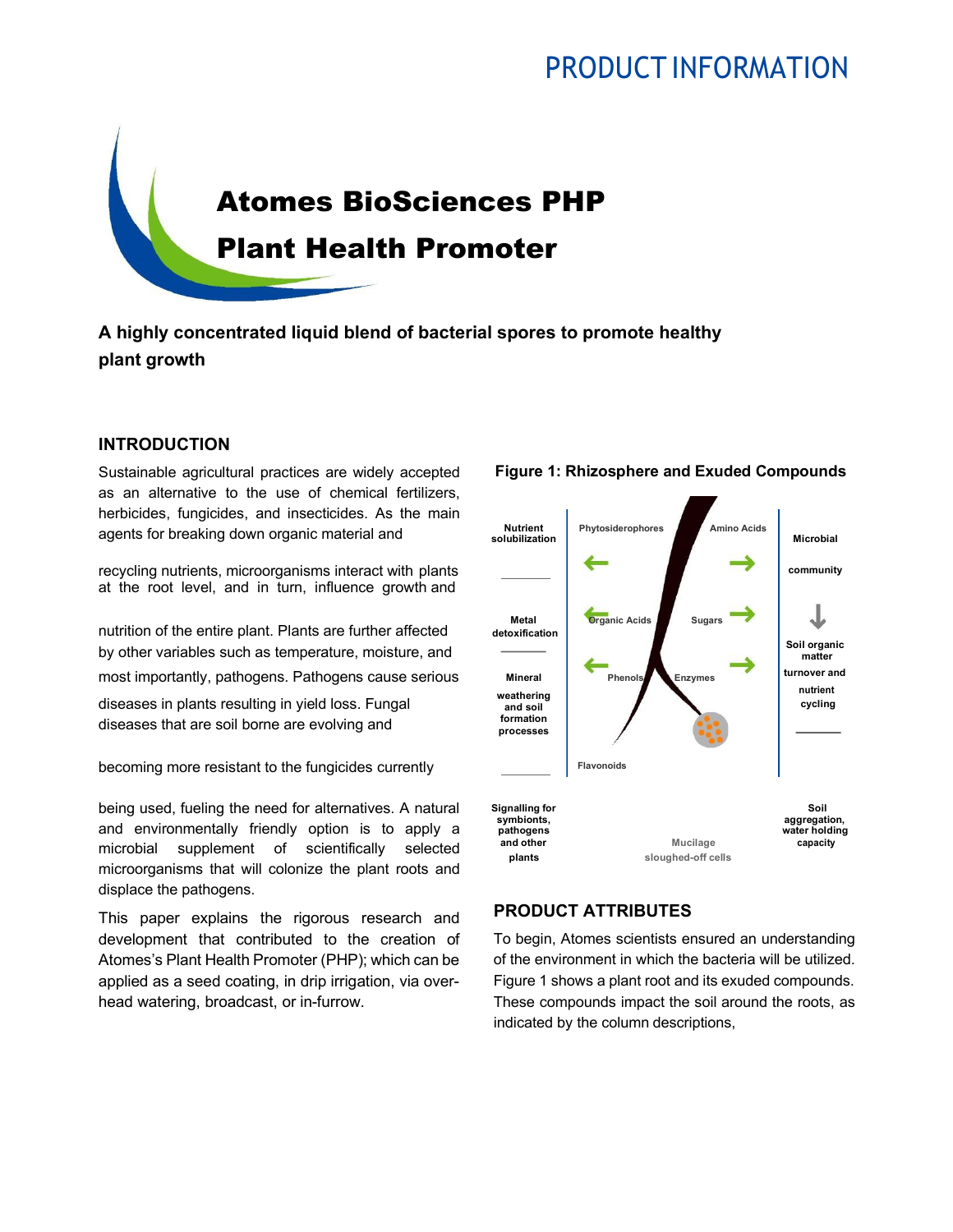# Atomes BioSciences PHP Plant Health Promoter

### **A highly concentrated liquid blend of bacterial spores to promote healthy plant growth**

### **INTRODUCTION**

Sustainable agricultural practices are widely accepted as an alternative to the use of chemical fertilizers, herbicides, fungicides, and insecticides. As the main agents for breaking down organic material and

recycling nutrients, microorganisms interact with plants at the root level, and in turn, influence growth and

nutrition of the entire plant. Plants are further affected by other variables such as temperature, moisture, and most importantly, pathogens. Pathogens cause serious **Mineral Mineral Phenols Enzymes turnover** and diseases in plants resulting in yield loss. Fungal diseases that are soil borne are evolving and

becoming more resistant to the fungicides currently **Flavonoids** Flavonoids

being used, fueling the need for alternatives. A natural and environmentally friendly option is to apply a microbial supplement of scientifically selected microorganisms that will colonize the plant roots and displace the pathogens.

This paper explains the rigorous research and development that contributed to the creation of Atomes's Plant Health Promoter (PHP); which can be applied as a seed coating, in drip irrigation, via overhead watering, broadcast, or in-furrow.



### **Figure 1: Rhizosphere and Exuded Compounds**

### **PRODUCT ATTRIBUTES**

To begin, Atomes scientists ensured an understanding of the environment in which the bacteria will be utilized. Figure 1 shows a plant root and its exuded compounds. These compounds impact the soil around the roots, as indicated by the column descriptions,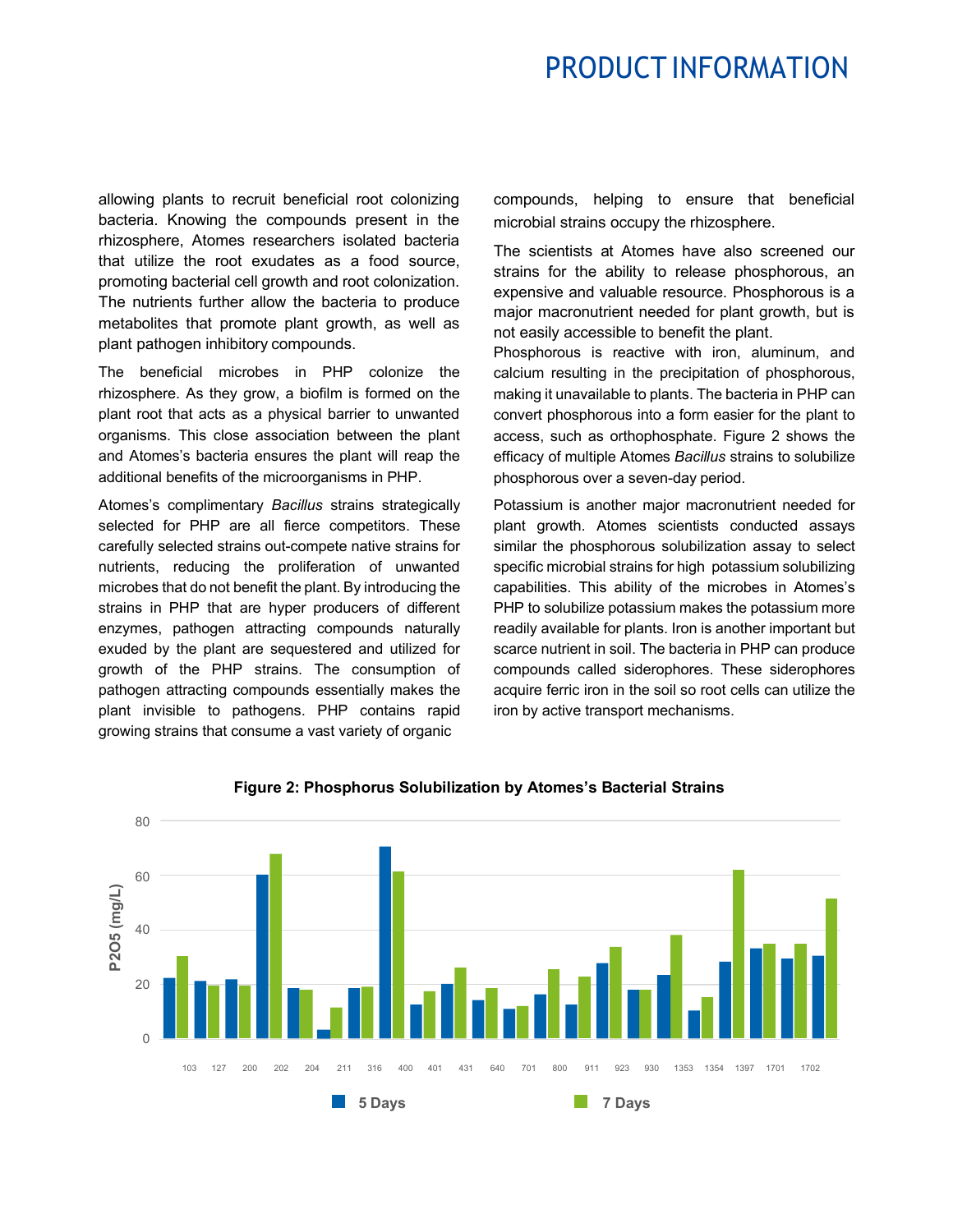allowing plants to recruit beneficial root colonizing bacteria. Knowing the compounds present in the rhizosphere, Atomes researchers isolated bacteria that utilize the root exudates as a food source, promoting bacterial cell growth and root colonization. The nutrients further allow the bacteria to produce metabolites that promote plant growth, as well as plant pathogen inhibitory compounds.

The beneficial microbes in PHP colonize the rhizosphere. As they grow, a biofilm is formed on the plant root that acts as a physical barrier to unwanted organisms. This close association between the plant and Atomes's bacteria ensures the plant will reap the additional benefits of the microorganisms in PHP.

Atomes's complimentary *Bacillus* strains strategically selected for PHP are all fierce competitors. These carefully selected strains out-compete native strains for nutrients, reducing the proliferation of unwanted microbes that do not benefit the plant. By introducing the strains in PHP that are hyper producers of different enzymes, pathogen attracting compounds naturally exuded by the plant are sequestered and utilized for growth of the PHP strains. The consumption of pathogen attracting compounds essentially makes the plant invisible to pathogens. PHP contains rapid growing strains that consume a vast variety of organic

compounds, helping to ensure that beneficial microbial strains occupy the rhizosphere.

The scientists at Atomes have also screened our strains for the ability to release phosphorous, an expensive and valuable resource. Phosphorous is a major macronutrient needed for plant growth, but is not easily accessible to benefit the plant.

Phosphorous is reactive with iron, aluminum, and calcium resulting in the precipitation of phosphorous, making it unavailable to plants. The bacteria in PHP can convert phosphorous into a form easier for the plant to access, such as orthophosphate. Figure 2 shows the efficacy of multiple Atomes *Bacillus* strains to solubilize phosphorous over a seven-day period.

Potassium is another major macronutrient needed for plant growth. Atomes scientists conducted assays similar the phosphorous solubilization assay to select specific microbial strains for high potassium solubilizing capabilities. This ability of the microbes in Atomes's PHP to solubilize potassium makes the potassium more readily available for plants. Iron is another important but scarce nutrient in soil. The bacteria in PHP can produce compounds called siderophores. These siderophores acquire ferric iron in the soil so root cells can utilize the iron by active transport mechanisms.



**Figure 2: Phosphorus Solubilization by Atomes's Bacterial Strains**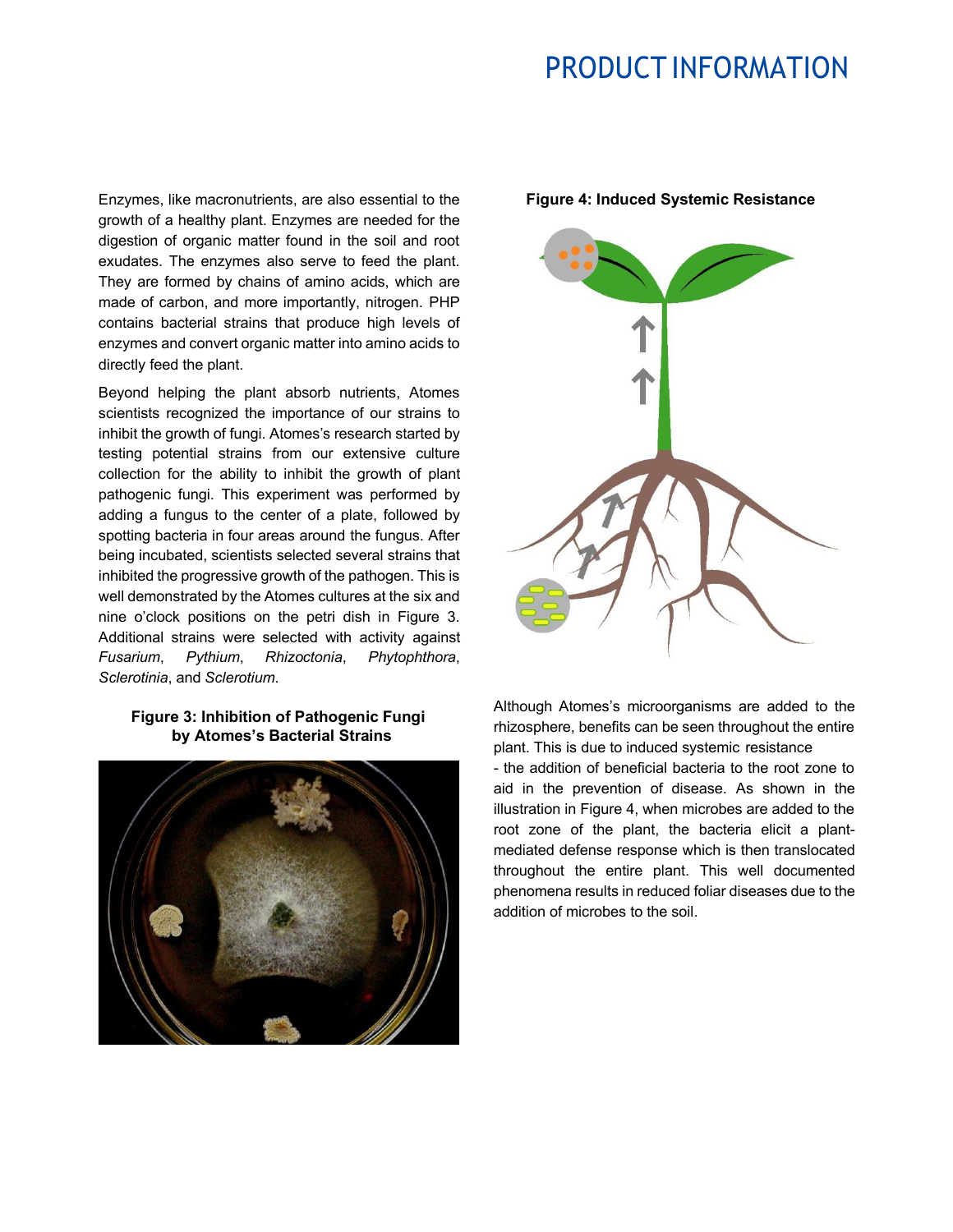Enzymes, like macronutrients, are also essential to the growth of a healthy plant. Enzymes are needed for the digestion of organic matter found in the soil and root exudates. The enzymes also serve to feed the plant. They are formed by chains of amino acids, which are made of carbon, and more importantly, nitrogen. PHP contains bacterial strains that produce high levels of enzymes and convert organic matter into amino acids to directly feed the plant.

Beyond helping the plant absorb nutrients, Atomes scientists recognized the importance of our strains to inhibit the growth of fungi. Atomes's research started by testing potential strains from our extensive culture collection for the ability to inhibit the growth of plant pathogenic fungi. This experiment was performed by adding a fungus to the center of a plate, followed by spotting bacteria in four areas around the fungus. After being incubated, scientists selected several strains that inhibited the progressive growth of the pathogen. This is well demonstrated by the Atomes cultures at the six and nine o'clock positions on the petri dish in Figure 3. Additional strains were selected with activity against *Fusarium*, *Pythium*, *Rhizoctonia*, *Phytophthora*, *Sclerotinia*, and *Sclerotium*.

### **Figure 3: Inhibition of Pathogenic Fungi by Atomes's Bacterial Strains**



Although Atomes's microorganisms are added to the rhizosphere, benefits can be seen throughout the entire plant. This is due to induced systemic resistance - the addition of beneficial bacteria to the root zone to aid in the prevention of disease. As shown in the illustration in Figure 4, when microbes are added to the root zone of the plant, the bacteria elicit a plantmediated defense response which is then translocated throughout the entire plant. This well documented phenomena results in reduced foliar diseases due to the addition of microbes to the soil.

#### **Figure 4: Induced Systemic Resistance**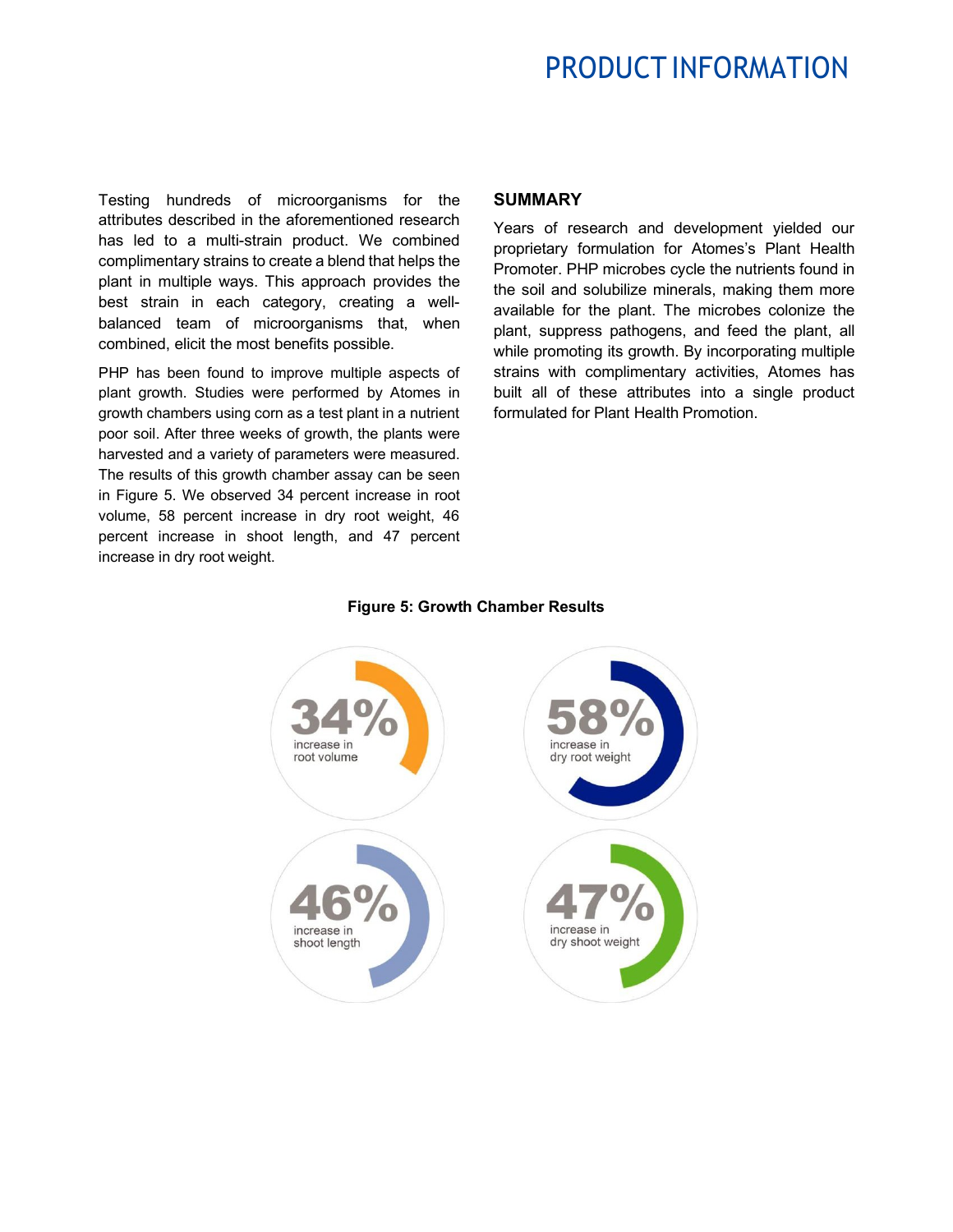Testing hundreds of microorganisms for the attributes described in the aforementioned research has led to a multi-strain product. We combined complimentary strains to create a blend that helps the plant in multiple ways. This approach provides the best strain in each category, creating a wellbalanced team of microorganisms that, when combined, elicit the most benefits possible.

PHP has been found to improve multiple aspects of plant growth. Studies were performed by Atomes in growth chambers using corn as a test plant in a nutrient poor soil. After three weeks of growth, the plants were harvested and a variety of parameters were measured. The results of this growth chamber assay can be seen in Figure 5. We observed 34 percent increase in root volume, 58 percent increase in dry root weight, 46 percent increase in shoot length, and 47 percent increase in dry root weight.

#### **SUMMARY**

Years of research and development yielded our proprietary formulation for Atomes's Plant Health Promoter. PHP microbes cycle the nutrients found in the soil and solubilize minerals, making them more available for the plant. The microbes colonize the plant, suppress pathogens, and feed the plant, all while promoting its growth. By incorporating multiple strains with complimentary activities, Atomes has built all of these attributes into a single product formulated for Plant Health Promotion.



### **Figure 5: Growth Chamber Results**